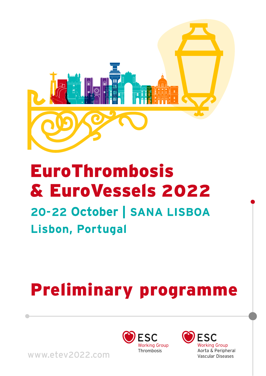

# **EuroThrombosis** & EuroVessels 2022

## 20-22 October | SANA LISBOA Lisbon, Portugal

# Preliminary programme



**ESC Working Group** Aorta & Peripheral Vascular Diseases

www[.etev2022.com](https://etev2022.com/)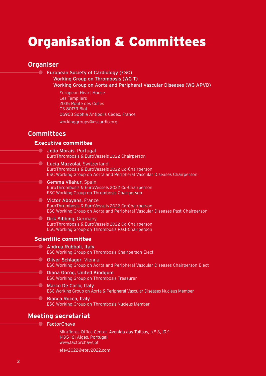## Organisation & Committees

#### **Organiser**

 $\bullet$ 

European Society of Cardiology (ESC)

Working Group on Thrombosis (WG T)

Working Group on Aorta and Peripheral Vascular Diseases (WG APVD)

European Heart House Les Templiers 2035 Route des Colles CS 80179 Biot 06903 Sophia Antipolis Cedex, France workinggroups@escardio.org

#### **Committees**

#### **Executive committee**

- $\bullet$ João Morais, Portugal EuroThrombosis & EuroVessels 2022 Chairperson
- Lucia Mazzolai, Switzerland EuroThrombosis & EuroVessels 2022 Co-Chairperson ESC Working Group on Aorta and Peripheral Vascular Diseases Chairperson
- Gemma Vilahur, Spain EuroThrombosis & EuroVessels 2022 Co-Chairperson ESC Working Group on Thrombosis Chairperson
- Victor Aboyans, France EuroThrombosis & EuroVessels 2022 Co-Chairperson ESC Working Group on Aorta and Peripheral Vascular Diseases Past-Chairperson
- Dirk Sibbing, Germany EuroThrombosis & EuroVessels 2022 Co-Chairperson ESC Working Group on Thrombosis Past-Chairperson

#### **Scientific committee**

- $\bullet$ Andrea Rubboli, Italy ESC Working Group on Thrombosis Chairperson-Elect
- Oliver Schlager, Vienna ESC Working Group on Aorta and Peripheral Vascular Diseases Chairperson-Elect
- $\bullet$ Diana Gorog, United Kindgom ESC Working Group on Thrombosis Treasurer
- $\bullet$ Marco De Carlo, Italy ESC Working Group on Aorta & Peripheral Vascular Diseases Nucleus Member
- Bianca Rocca, Italy ESC Working Group on Thrombosis Nucleus Member

#### **Meeting secretariat**

#### **FactorChave**

Miraflores Office Center, Avenida das Tulipas, n.º 6, 19.º 1495-161 Algés, Portugal www.factorchave.pt etev2022@etev2022.com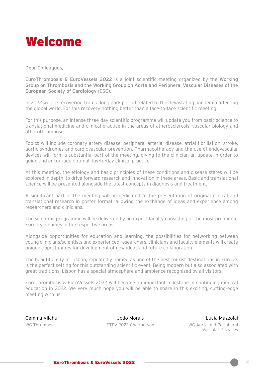

Dear Colleagues,

EuroThrombosis & EuroVessels 2022 is a joint scientific meeting organized by the Working Group on Thrombosis and the Working Group on Aorta and Peripheral Vascular Diseases of the European Society of Cardiology (ESC).

In 2022 we are recovering from a long dark period related to the devastating pandemia affecting the global world. For this recovery nothing better than a face-to-face scientific meeting.

For this purpose, an intense three-day scientific programme will update you from basic science to translational medicine and clinical practice in the areas of atherosclerosis, vascular biology and atherothrombosis.

Topics will include coronary artery disease, peripheral arterial disease, atrial fibrillation, stroke, aortic syndromes and cardiovascular prevention. Pharmacotherapy and the use of endovascular devices will form a substantial part of the meeting, giving to the clinician an update in order to guide and encourage optimal day-to-day clinical practice.

At this meeting, the etiology and basic principles of these conditions and disease states will be explored in depth, to drive forward research and innovation in these areas. Basic and translational science will be presented alongside the latest concepts in diagnosis and treatment.

A significant part of the meeting will be dedicated to the presentation of original clinical and translational research in poster format, allowing the exchange of ideas and experience among researchers and clinicians.

The scientific programme will be delivered by an expert faculty consisting of the most prominent European names in the respective areas.

Alongside opportunities for education and learning, the possibilities for networking between young clinicians/scientists and experienced researchers, clinicians and faculty elements will create unique opportunities for development of new ideas and future collaboration.

The beautiful city of Lisbon, repeatedly named as one of the best tourist destinations in Europe, is the perfect setting for this outstanding scientific event. Being modern but also associated with great traditions, Lisbon has a special atmosphere and ambience recognized by all visitors.

EuroThrombosis & EuroVessels 2022 will become an important milestone in continuing medical education in 2022. We very much hope you will be able to share in this exciting, cutting-edge meeting with us.

Gemma Vilahur WG Thrombosis

João Morais ETEV 2022 Chairperson

Lucia Mazzolai WG Aorta and Peripheral Vascular Diseases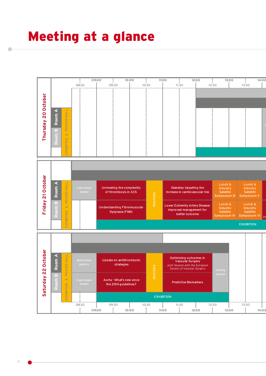## Meeting at a glance

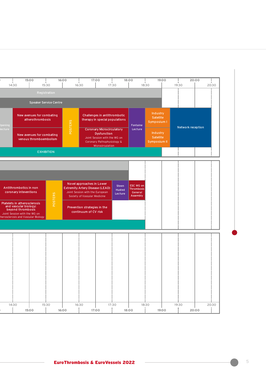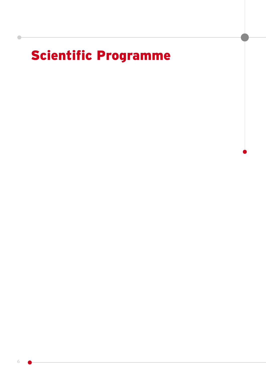## Scientific Programme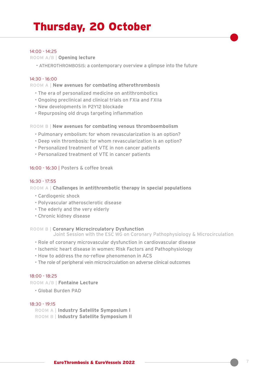### Thursday, 20 October

#### 14:00 - 14:25

**ROOM A/B | Opening lecture**

• ATHEROTHROMBOSIS: a contemporary overview a glimpse into the future

#### 14:30 - 16:00

**ROOM A | New avenues for combating atherothrombosis**

- The era of personalized medicine on antithrombotics
- Ongoing preclinical and clinical trials on FXIa and FXIIa
- New developments in P2Y12 blockade
- Repurposing old drugs targeting inflammation

#### **ROOM B | New avenues for combating venous thromboembolism**

- Pulmonary embolism: for whom revascularization is an option?
- Deep vein thrombosis: for whom revascularization is an option?
- Personalized treatment of VTE in non cancer patients
- Personalized treatment of VTE in cancer patients

16:00 - 16:30 | Posters & coffee break

#### 16:30 - 17:55

**ROOM A | Challenges in antithrombotic therapy in special populations** 

- Cardiogenic shock
- Polyvascular atherosclerotic disease
- The ederly and the very elderly
- Chronic kidney disease

**ROOM B | Coronary Microcirculatory Dysfunction**

Joint Session with the ESC WG on Coronary Pathophysiology & Microcirculation

- Role of coronary microvascular dysfunction in cardiovascular disease
- Ischemic heart disease in women: Risk Factors and Pathophysiology
- How to address the no-reflow phenomenon in ACS
- The role of peripheral vein microcirculation on adverse clinical outcomes

#### 18:00 - 18:25

**ROOM A/B | Fontaine Lecture**

• Global Burden PAD

#### 18:30 - 19:15

**ROOM A | Industry Satellite Symposium I ROOM B | Industry Satellite Symposium II**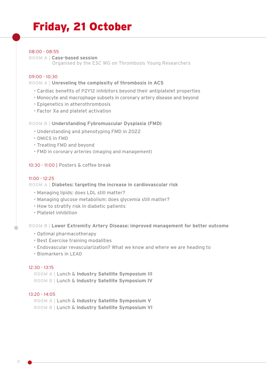## Friday, 21 October

#### 08:00 - 08:55

**ROOM A | Case-based session** Organised by the ESC WG on Thrombosis Young Researchers

#### 09:00 - 10:30

**ROOM A | Unreveling the complexity of thrombosis in ACS**

- Cardiac benefits of P2Y12 inhibitors beyond their antiplatelet properties
- Monocyte and macrophage subsets in coronary artery disease and beyond
- Epigenetics in atherothrombosis
- Factor Xa and platelet activation

#### **ROOM B | Understanding Fybromuscular Dysplasia (FMD)**

- Understanding and phenotyping FMD in 2022
- OMICS in FMD
- Treating FMD and beyond
- FMD in coronary arteries (imaging and management)

10:30 - 11:00 | Posters & coffee break

#### 11:00 - 12:25

**ROOM A | Diabetes: targeting the increase in cardiovascular risk** 

- Managing lipids: does LDL still matter?
- Managing glucose metabolism: does glycemia still matter?
- How to stratify risk in diabetic patients
- Platelet inhibition

**ROOM B | Lower Extremity Artery Disease: improved management for better outcome**

- Optimal pharmacotherapy
- Best Exercise training modalities
- Endovascular revascularization? What we know and where we are heading to
- Biomarkers in LEAD

#### 12:30 - 13:15

**ROOM A |** Lunch & **Industry Satellite Symposium III ROOM B |** Lunch & **Industry Satellite Symposium IV**

#### 13:20 - 14:05

**ROOM A |** Lunch & **Industry Satellite Symposium V ROOM B |** Lunch & **Industry Satellite Symposium VI**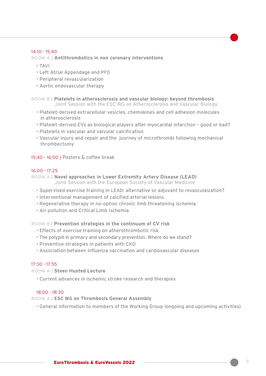#### 14:10 - 15:40

**ROOM A | Antithrombotics in non coronary interventions** 

- TAVI
- Left Atrial Appendage and PFO
- Peripheral revascularization
- Aortic endovascular therapy

**ROOM B | Platelets in atherosclerosis and vascular biology: beyond thrombosis** Joint Session with the ESC WG on Atherosclerosis and Vascular Biology

- Platelet-derived extracellular vesicles, chemokines and cell adhesion molecules in atherosclerosis
- Platelet-derived EVs as biological players after myocardial infarction good or bad?
- Platelets in vascular and valvular calcification
- Vascular injury and repair and the journey of microthrombi following mechanical thrombectomy

15:40 - 16:00 | Posters & coffee break

#### 16:00 - 17:25

**ROOM A | Novel approaches in Lower Extremity Artery Disease (LEAD)** Joint Session with the European Society of Vascular Medicine

- Supervised exercise training in LEAD: alternative or adjuvant to revasculaization?
- Interventional management of calcified arterial lesions
- Regenerative therapy in no-option chronic limb threatening ischemia
- Air pollution and Critical Limb Ischemia

**ROOM B | Prevention strategies in the continuum of CV risk**

- Effects of exercise training on atherothrombotic risk
- The polypill in primary and secondary prevention. Where do we stand?
- Preventive strategies in patients with CKD
- Association between influenza vaccination and cardiovascular diseases

#### 17:30 - 17:55

**ROOM A | Steen Husted Lecture**

• Current advances in ischemic stroke research and therapies

#### 18:00 - 18:30

**ROOM A | ESC WG on Thrombosis General Assembly**

• General information to members of the Working Group (ongoing and upcoming activities)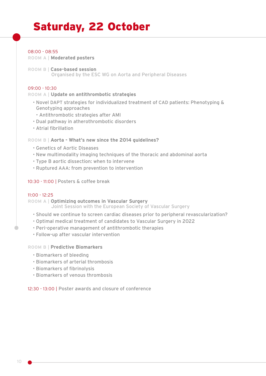## Saturday, 22 October

#### 08:00 - 08:55

**ROOM A | Moderated posters**

**ROOM B | Case-based session** Organised by the ESC WG on Aorta and Peripheral Diseases

#### 09:00 - 10:30

#### **ROOM A | Update on antithrombotic strategies**

- Novel DAPT strategies for individualized treatment of CAD patients: Phenotyping & Genotyping approaches
	- Antithrombotic strategies after AMI
- Dual pathway in atherothrombotic disorders
- Atrial fibrillation

#### **ROOM B | Aorta - What's new since the 2014 guidelines?**

- Genetics of Aortic Diseases
- New multimodality imaging techniques of the thoracic and abdominal aorta
- Type B aortic dissection: when to intervene
- Ruptured AAA: from prevention to intervention

#### 10:30 - 11:00 | Posters & coffee break

#### 11:00 - 12:25

**ROOM A | Optimizing outcomes in Vascular Surgery**  Joint Session with the European Society of Vascular Surgery

- Should we continue to screen cardiac diseases prior to peripheral revascularization?
- Optimal medical treatment of candidates to Vascular Surgery in 2022
- Peri-operative management of antithrombotic therapies
- Follow-up after vascular intervention

**ROOM B | Predictive Biomarkers**

- Biomarkers of bleeding
- Biomarkers of arterial thrombosis
- Biomarkers of fibrinolysis
- Biomarkers of venous thrombosis

12:30 - 13:00 | Poster awards and closure of conference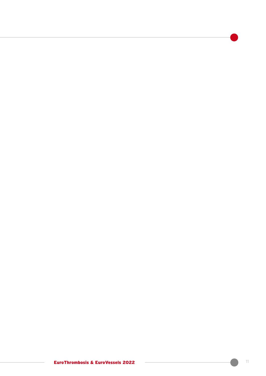EuroThrombosis & EuroVessels 2022 11